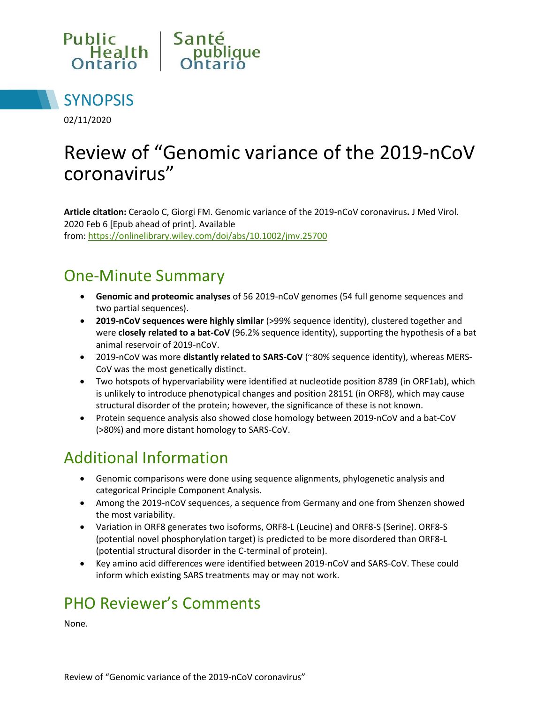



02/11/2020

# Review of "Genomic variance of the 2019-nCoV coronavirus"

**Article citation:** Ceraolo C, Giorgi FM. Genomic variance of the 2019-nCoV coronavirus**.** J Med Virol. 2020 Feb 6 [Epub ahead of print]. Available from: <https://onlinelibrary.wiley.com/doi/abs/10.1002/jmv.25700>

#### One-Minute Summary

- **Genomic and proteomic analyses** of 56 2019-nCoV genomes (54 full genome sequences and two partial sequences).
- **2019-nCoV sequences were highly similar** (>99% sequence identity), clustered together and were **closely related to a bat-CoV** (96.2% sequence identity), supporting the hypothesis of a bat animal reservoir of 2019-nCoV.
- 2019-nCoV was more **distantly related to SARS-CoV** (~80% sequence identity), whereas MERS-CoV was the most genetically distinct.
- Two hotspots of hypervariability were identified at nucleotide position 8789 (in ORF1ab), which is unlikely to introduce phenotypical changes and position 28151 (in ORF8), which may cause structural disorder of the protein; however, the significance of these is not known.
- Protein sequence analysis also showed close homology between 2019-nCoV and a bat-CoV (>80%) and more distant homology to SARS-CoV.

### Additional Information

- Genomic comparisons were done using sequence alignments, phylogenetic analysis and categorical Principle Component Analysis.
- Among the 2019-nCoV sequences, a sequence from Germany and one from Shenzen showed the most variability.
- Variation in ORF8 generates two isoforms, ORF8-L (Leucine) and ORF8-S (Serine). ORF8-S (potential novel phosphorylation target) is predicted to be more disordered than ORF8-L (potential structural disorder in the C-terminal of protein).
- Key amino acid differences were identified between 2019-nCoV and SARS-CoV. These could inform which existing SARS treatments may or may not work.

### PHO Reviewer's Comments

None.